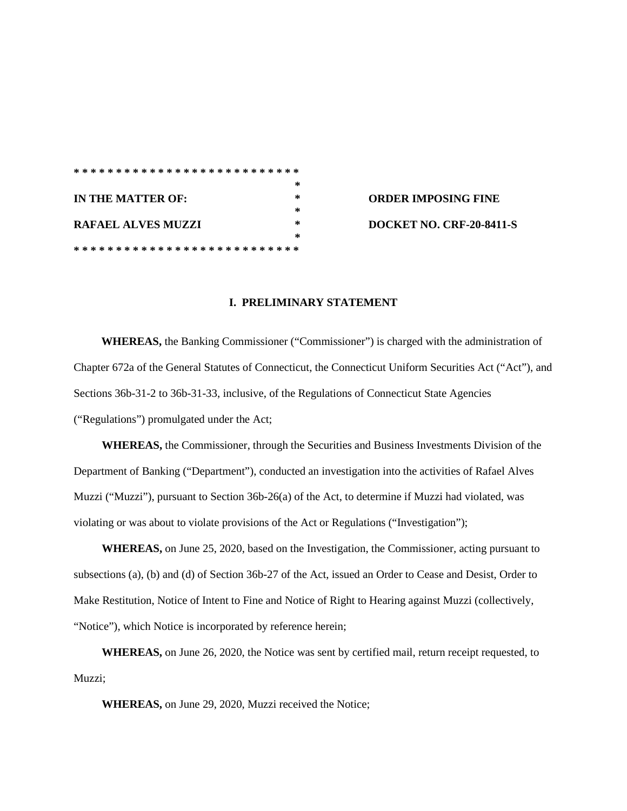|                   |                             |  |  |  |  |  |  |  |  |  |  |  |  |  |   |  |        |  |  |  |  | *************************** |
|-------------------|-----------------------------|--|--|--|--|--|--|--|--|--|--|--|--|--|---|--|--------|--|--|--|--|-----------------------------|
|                   |                             |  |  |  |  |  |  |  |  |  |  |  |  |  |   |  |        |  |  |  |  | *                           |
| IN THE MATTER OF: |                             |  |  |  |  |  |  |  |  |  |  |  |  |  | * |  |        |  |  |  |  |                             |
|                   |                             |  |  |  |  |  |  |  |  |  |  |  |  |  |   |  |        |  |  |  |  | $\ast$                      |
|                   | <b>RAFAEL ALVES MUZZI</b>   |  |  |  |  |  |  |  |  |  |  |  |  |  |   |  | $\ast$ |  |  |  |  |                             |
|                   |                             |  |  |  |  |  |  |  |  |  |  |  |  |  |   |  |        |  |  |  |  | *                           |
|                   | *************************** |  |  |  |  |  |  |  |  |  |  |  |  |  |   |  |        |  |  |  |  |                             |

**IN THE MATTER OF: \* ORDER IMPOSING FINE RAFAEL ALVES MUZZI \* DOCKET NO. CRF-20-8411-S**

## **I. PRELIMINARY STATEMENT**

**WHEREAS,** the Banking Commissioner ("Commissioner") is charged with the administration of Chapter 672a of the General Statutes of Connecticut, the Connecticut Uniform Securities Act ("Act"), and Sections 36b-31-2 to 36b-31-33, inclusive, of the Regulations of Connecticut State Agencies ("Regulations") promulgated under the Act;

**WHEREAS,** the Commissioner, through the Securities and Business Investments Division of the Department of Banking ("Department"), conducted an investigation into the activities of Rafael Alves Muzzi ("Muzzi"), pursuant to Section 36b-26(a) of the Act, to determine if Muzzi had violated, was violating or was about to violate provisions of the Act or Regulations ("Investigation");

**WHEREAS,** on June 25, 2020, based on the Investigation, the Commissioner*,* acting pursuant to subsections (a), (b) and (d) of Section 36b-27 of the Act, issued an Order to Cease and Desist, Order to Make Restitution, Notice of Intent to Fine and Notice of Right to Hearing against Muzzi (collectively, "Notice"), which Notice is incorporated by reference herein;

**WHEREAS,** on June 26, 2020, the Notice was sent by certified mail, return receipt requested, to Muzzi:

**WHEREAS,** on June 29, 2020, Muzzi received the Notice;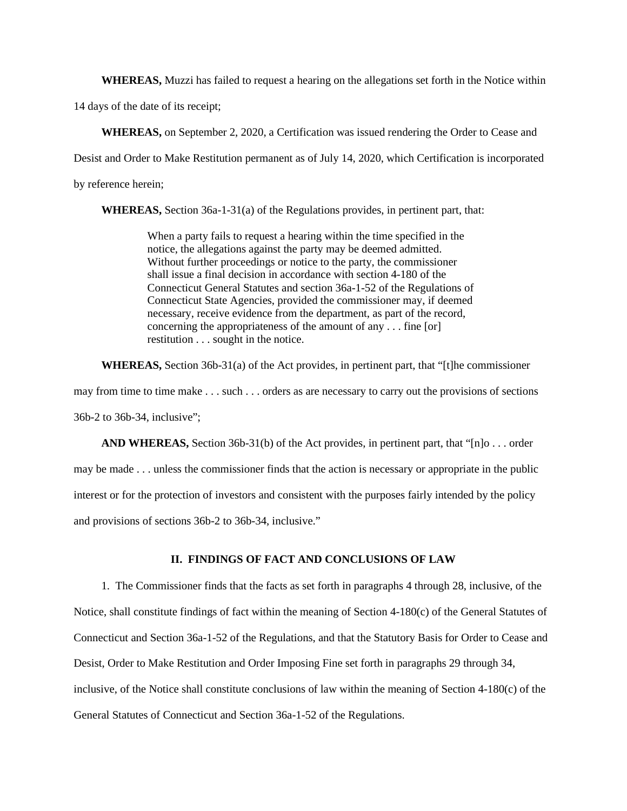**WHEREAS,** Muzzi has failed to request a hearing on the allegations set forth in the Notice within

14 days of the date of its receipt;

**WHEREAS,** on September 2, 2020, a Certification was issued rendering the Order to Cease and Desist and Order to Make Restitution permanent as of July 14, 2020, which Certification is incorporated by reference herein;

**WHEREAS,** Section 36a-1-31(a) of the Regulations provides, in pertinent part, that:

When a party fails to request a hearing within the time specified in the notice, the allegations against the party may be deemed admitted. Without further proceedings or notice to the party, the commissioner shall issue a final decision in accordance with section 4-180 of the Connecticut General Statutes and section 36a-1-52 of the Regulations of Connecticut State Agencies, provided the commissioner may, if deemed necessary, receive evidence from the department, as part of the record, concerning the appropriateness of the amount of any . . . fine [or] restitution . . . sought in the notice.

**WHEREAS,** Section 36b-31(a) of the Act provides, in pertinent part, that "[t]he commissioner may from time to time make . . . such . . . orders as are necessary to carry out the provisions of sections 36b-2 to 36b-34, inclusive";

**AND WHEREAS,** Section 36b-31(b) of the Act provides, in pertinent part, that "[n]o . . . order may be made . . . unless the commissioner finds that the action is necessary or appropriate in the public interest or for the protection of investors and consistent with the purposes fairly intended by the policy and provisions of sections 36b-2 to 36b-34, inclusive."

## **II. FINDINGS OF FACT AND CONCLUSIONS OF LAW**

1. The Commissioner finds that the facts as set forth in paragraphs 4 through 28, inclusive, of the Notice, shall constitute findings of fact within the meaning of Section 4-180(c) of the General Statutes of Connecticut and Section 36a-1-52 of the Regulations, and that the Statutory Basis for Order to Cease and Desist, Order to Make Restitution and Order Imposing Fine set forth in paragraphs 29 through 34, inclusive, of the Notice shall constitute conclusions of law within the meaning of Section 4-180(c) of the General Statutes of Connecticut and Section 36a-1-52 of the Regulations.